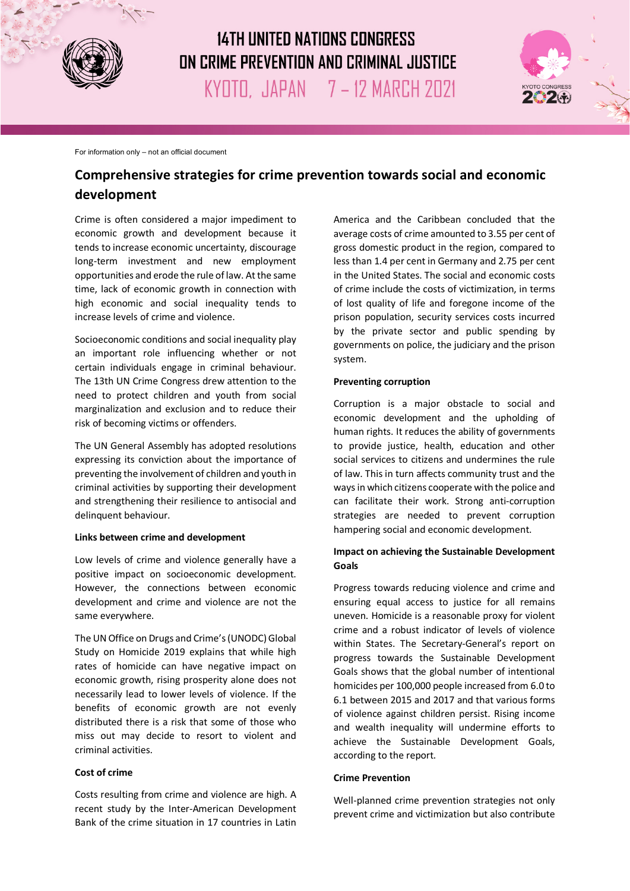

# **14TH UNITED NATIONS CONGRESS** ON CRIME PREVENTION AND CRIMINAL JUSTICE KYOTO, JAPAN 7 - 12 MARCH 2021



For information only – not an official document

# **Comprehensive strategies for crime prevention towards social and economic development**

Crime is often considered a major impediment to economic growth and development because it tends to increase economic uncertainty, discourage long-term investment and new employment opportunities and erode the rule of law. At the same time, lack of economic growth in connection with high economic and social inequality tends to increase levels of crime and violence.

Socioeconomic conditions and social inequality play an important role influencing whether or not certain individuals engage in criminal behaviour. The 13th UN Crime Congress drew attention to the need to protect children and youth from social marginalization and exclusion and to reduce their risk of becoming victims or offenders.

The UN General Assembly has adopted resolutions expressing its conviction about the importance of preventing the involvement of children and youth in criminal activities by supporting their development and strengthening their resilience to antisocial and delinquent behaviour.

#### **Links between crime and development**

Low levels of crime and violence generally have a positive impact on socioeconomic development. However, the connections between economic development and crime and violence are not the same everywhere.

The UN Office on Drugs and Crime's (UNODC) Global Study on Homicide 2019 explains that while high rates of homicide can have negative impact on economic growth, rising prosperity alone does not necessarily lead to lower levels of violence. If the benefits of economic growth are not evenly distributed there is a risk that some of those who miss out may decide to resort to violent and criminal activities.

### **Cost of crime**

Costs resulting from crime and violence are high. A recent study by the Inter-American Development Bank of the crime situation in 17 countries in Latin

America and the Caribbean concluded that the average costs of crime amounted to 3.55 per cent of gross domestic product in the region, compared to less than 1.4 per cent in Germany and 2.75 per cent in the United States. The social and economic costs of crime include the costs of victimization, in terms of lost quality of life and foregone income of the prison population, security services costs incurred by the private sector and public spending by governments on police, the judiciary and the prison system.

#### **Preventing corruption**

Corruption is a major obstacle to social and economic development and the upholding of human rights. It reduces the ability of governments to provide justice, health, education and other social services to citizens and undermines the rule of law. This in turn affects community trust and the ways in which citizens cooperate with the police and can facilitate their work. Strong anti-corruption strategies are needed to prevent corruption hampering social and economic development.

## **Impact on achieving the Sustainable Development Goals**

Progress towards reducing violence and crime and ensuring equal access to justice for all remains uneven. Homicide is a reasonable proxy for violent crime and a robust indicator of levels of violence within States. The Secretary-General's report on progress towards the Sustainable Development Goals shows that the global number of intentional homicides per 100,000 people increased from 6.0 to 6.1 between 2015 and 2017 and that various forms of violence against children persist. Rising income and wealth inequality will undermine efforts to achieve the Sustainable Development Goals, according to the report.

#### **Crime Prevention**

Well-planned crime prevention strategies not only prevent crime and victimization but also contribute